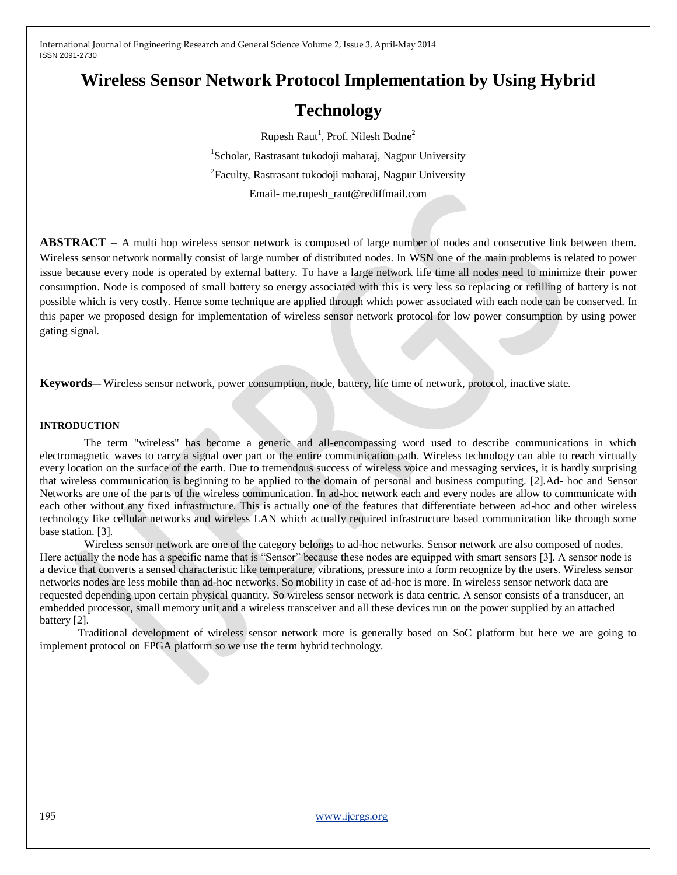# **Wireless Sensor Network Protocol Implementation by Using Hybrid**

## **Technology**

Rupesh Raut<sup>1</sup>, Prof. Nilesh Bodne<sup>2</sup>

<sup>1</sup>Scholar, Rastrasant tukodoji maharaj, Nagpur University <sup>2</sup>Faculty, Rastrasant tukodoji maharaj, Nagpur University Email- me.rupesh\_raut@rediffmail.com

**ABSTRACT –** A multi hop wireless sensor network is composed of large number of nodes and consecutive link between them. Wireless sensor network normally consist of large number of distributed nodes. In WSN one of the main problems is related to power issue because every node is operated by external battery. To have a large network life time all nodes need to minimize their power consumption. Node is composed of small battery so energy associated with this is very less so replacing or refilling of battery is not possible which is very costly. Hence some technique are applied through which power associated with each node can be conserved. In this paper we proposed design for implementation of wireless sensor network protocol for low power consumption by using power gating signal.

**Keywords**— Wireless sensor network, power consumption, node, battery, life time of network, protocol, inactive state.

### **INTRODUCTION**

 The term "wireless" has become a generic and all-encompassing word used to describe communications in which electromagnetic waves to carry a signal over part or the entire communication path. Wireless technology can able to reach virtually every location on the surface of the earth. Due to tremendous success of wireless voice and messaging services, it is hardly surprising that wireless communication is beginning to be applied to the domain of personal and business computing. [2].Ad- hoc and Sensor Networks are one of the parts of the wireless communication. In ad-hoc network each and every nodes are allow to communicate with each other without any fixed infrastructure. This is actually one of the features that differentiate between ad-hoc and other wireless technology like cellular networks and wireless LAN which actually required infrastructure based communication like through some base station. [3].

 Wireless sensor network are one of the category belongs to ad-hoc networks. Sensor network are also composed of nodes. Here actually the node has a specific name that is "Sensor" because these nodes are equipped with smart sensors [3]. A sensor node is a device that converts a sensed characteristic like temperature, vibrations, pressure into a form recognize by the users. Wireless sensor networks nodes are less mobile than ad-hoc networks. So mobility in case of ad-hoc is more. In wireless sensor network data are requested depending upon certain physical quantity. So wireless sensor network is data centric. A sensor consists of a transducer, an embedded processor, small memory unit and a wireless transceiver and all these devices run on the power supplied by an attached battery [2].

 Traditional development of wireless sensor network mote is generally based on SoC platform but here we are going to implement protocol on FPGA platform so we use the term hybrid technology.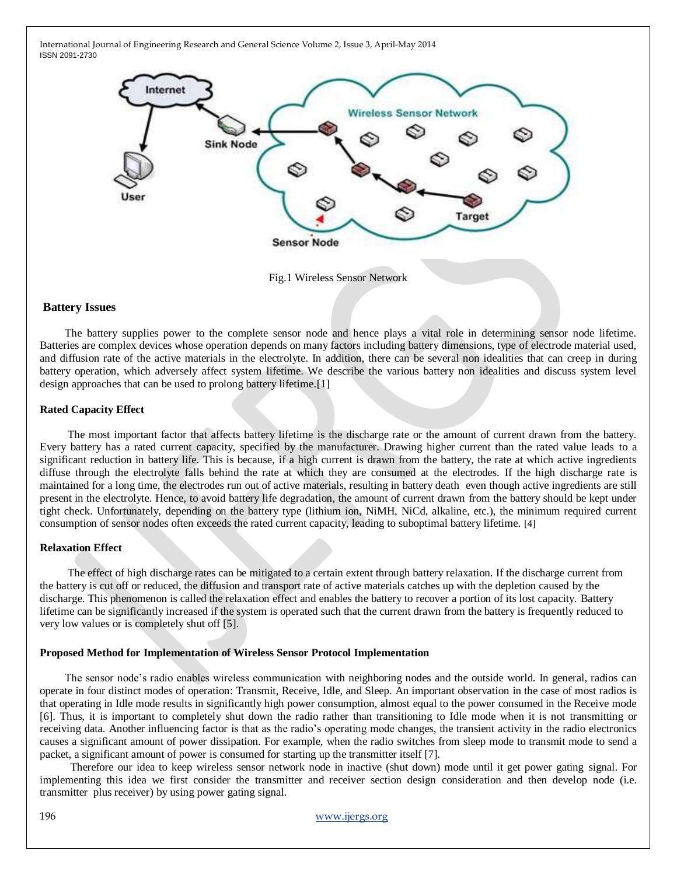

#### **Battery Issues**

 The battery supplies power to the complete sensor node and hence plays a vital role in determining sensor node lifetime. Batteries are complex devices whose operation depends on many factors including battery dimensions, type of electrode material used, and diffusion rate of the active materials in the electrolyte. In addition, there can be several non idealities that can creep in during battery operation, which adversely affect system lifetime. We describe the various battery non idealities and discuss system level design approaches that can be used to prolong battery lifetime.[1]

#### **Rated Capacity Effect**

 The most important factor that affects battery lifetime is the discharge rate or the amount of current drawn from the battery. Every battery has a rated current capacity, specified by the manufacturer. Drawing higher current than the rated value leads to a significant reduction in battery life. This is because, if a high current is drawn from the battery, the rate at which active ingredients diffuse through the electrolyte falls behind the rate at which they are consumed at the electrodes. If the high discharge rate is maintained for a long time, the electrodes run out of active materials, resulting in battery death even though active ingredients are still present in the electrolyte. Hence, to avoid battery life degradation, the amount of current drawn from the battery should be kept under tight check. Unfortunately, depending on the battery type (lithium ion, NiMH, NiCd, alkaline, etc.), the minimum required current consumption of sensor nodes often exceeds the rated current capacity, leading to suboptimal battery lifetime. [4]

## **Relaxation Effect**

 The effect of high discharge rates can be mitigated to a certain extent through battery relaxation. If the discharge current from the battery is cut off or reduced, the diffusion and transport rate of active materials catches up with the depletion caused by the discharge. This phenomenon is called the relaxation effect and enables the battery to recover a portion of its lost capacity. Battery lifetime can be significantly increased if the system is operated such that the current drawn from the battery is frequently reduced to very low values or is completely shut off [5].

## **Proposed Method for Implementation of Wireless Sensor Protocol Implementation**

 The sensor node's radio enables wireless communication with neighboring nodes and the outside world. In general, radios can operate in four distinct modes of operation: Transmit, Receive, Idle, and Sleep. An important observation in the case of most radios is that operating in Idle mode results in significantly high power consumption, almost equal to the power consumed in the Receive mode [6]. Thus, it is important to completely shut down the radio rather than transitioning to Idle mode when it is not transmitting or receiving data. Another influencing factor is that as the radio's operating mode changes, the transient activity in the radio electronics causes a significant amount of power dissipation. For example, when the radio switches from sleep mode to transmit mode to send a packet, a significant amount of power is consumed for starting up the transmitter itself [7].

 Therefore our idea to keep wireless sensor network node in inactive (shut down) mode until it get power gating signal. For implementing this idea we first consider the transmitter and receiver section design consideration and then develop node (i.e. transmitter plus receiver) by using power gating signal.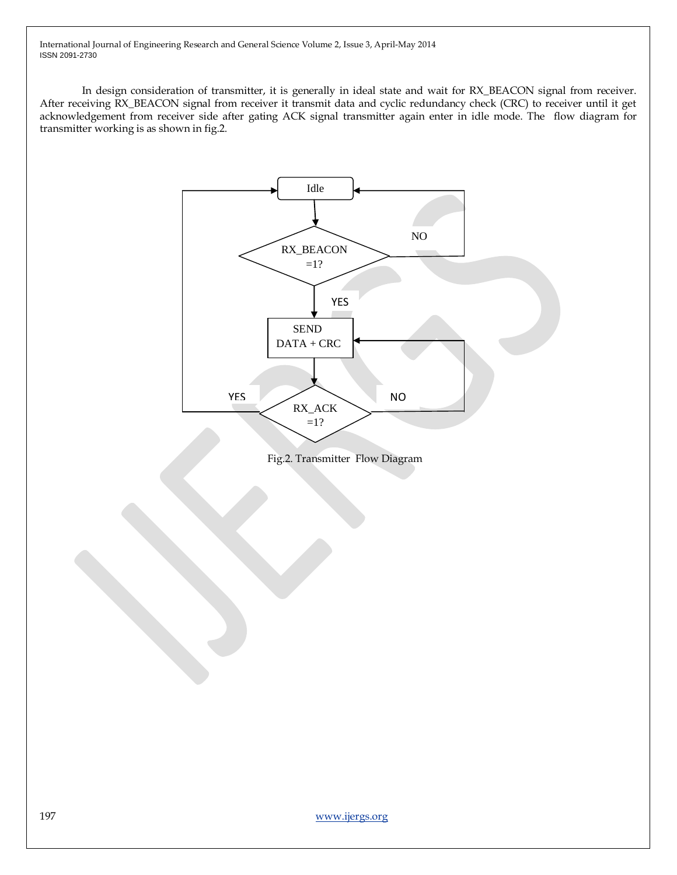In design consideration of transmitter, it is generally in ideal state and wait for RX\_BEACON signal from receiver. After receiving RX\_BEACON signal from receiver it transmit data and cyclic redundancy check (CRC) to receiver until it get acknowledgement from receiver side after gating ACK signal transmitter again enter in idle mode. The flow diagram for transmitter working is as shown in fig.2.



Fig.2. Transmitter Flow Diagram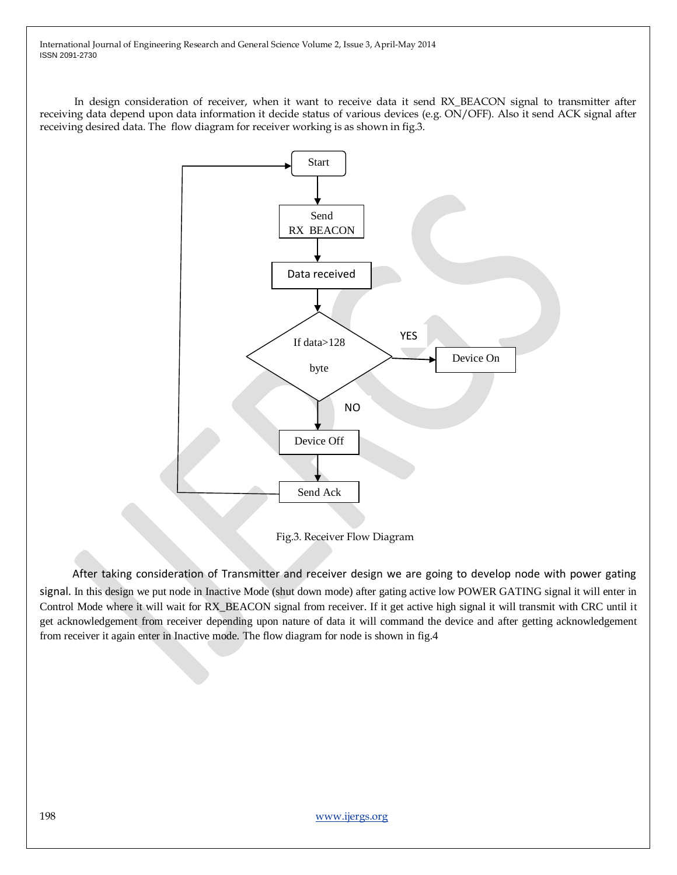In design consideration of receiver, when it want to receive data it send RX\_BEACON signal to transmitter after receiving data depend upon data information it decide status of various devices (e.g. ON/OFF). Also it send ACK signal after receiving desired data. The flow diagram for receiver working is as shown in fig.3.



Fig.3. Receiver Flow Diagram

 After taking consideration of Transmitter and receiver design we are going to develop node with power gating signal. In this design we put node in Inactive Mode (shut down mode) after gating active low POWER GATING signal it will enter in Control Mode where it will wait for RX\_BEACON signal from receiver. If it get active high signal it will transmit with CRC until it get acknowledgement from receiver depending upon nature of data it will command the device and after getting acknowledgement from receiver it again enter in Inactive mode. The flow diagram for node is shown in fig.4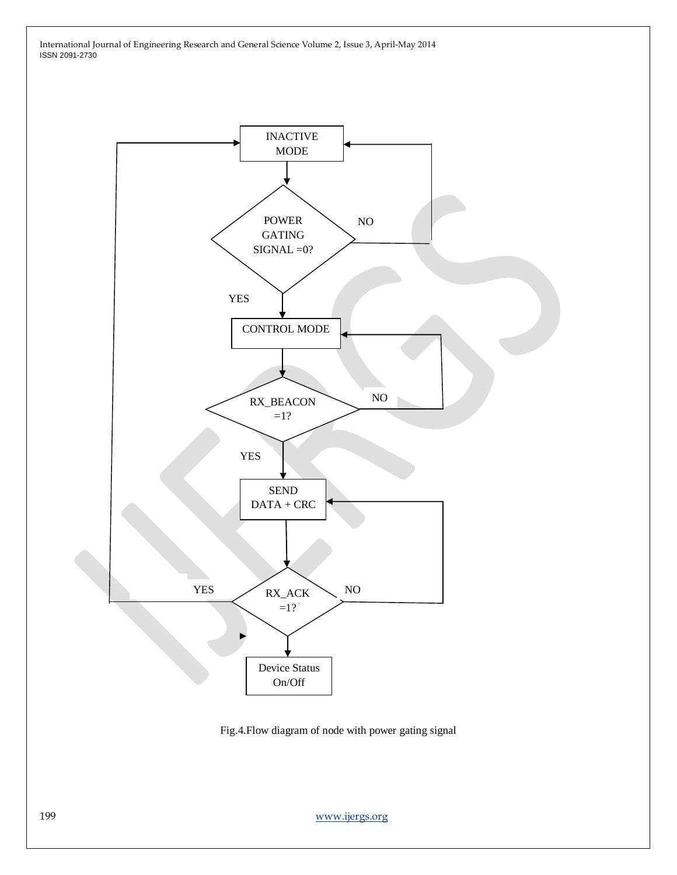

Fig.4.Flow diagram of node with power gating signal

199 [www.ijergs.org](http://www.ijergs.org/)